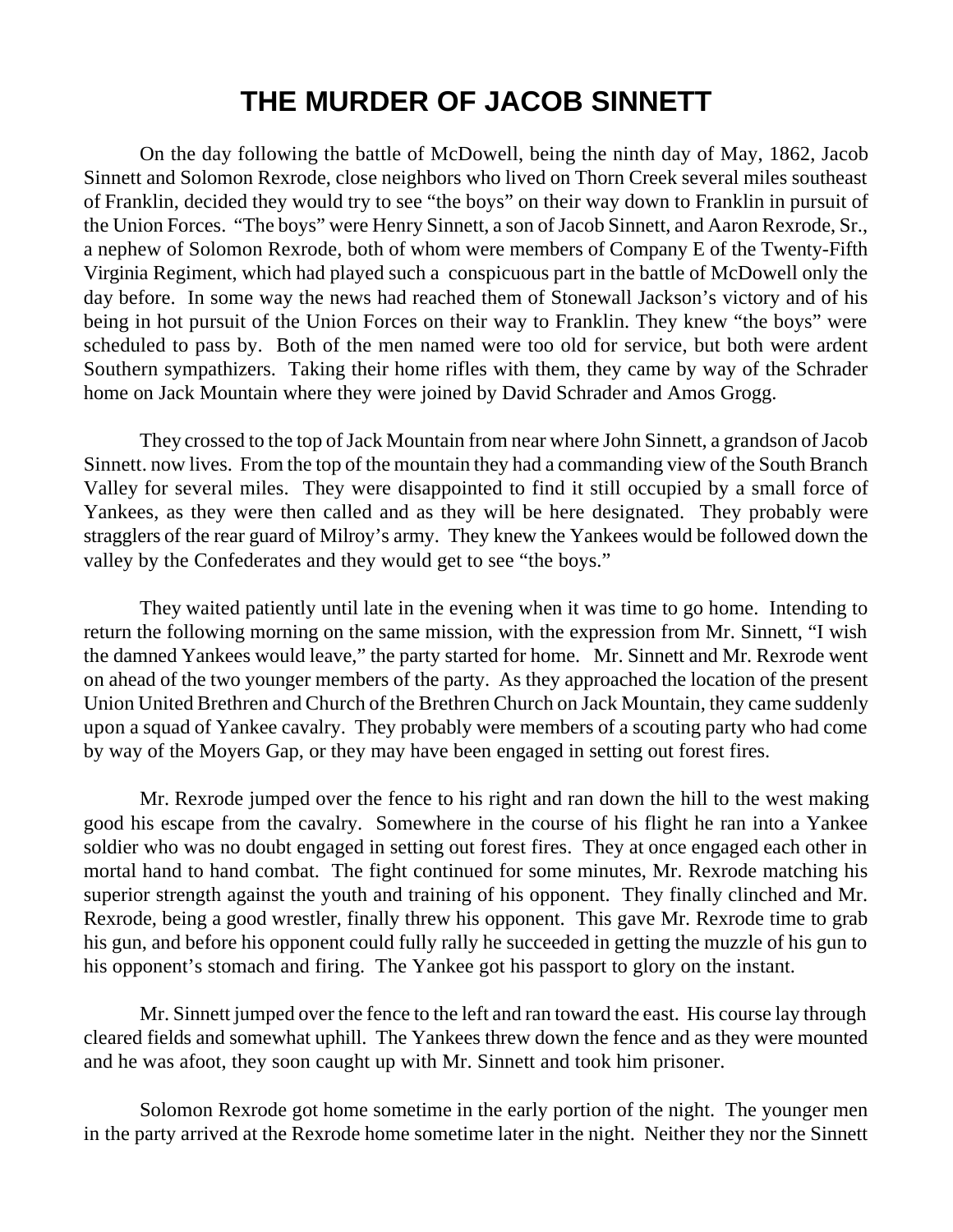## **THE MURDER OF JACOB SINNETT**

On the day following the battle of McDowell, being the ninth day of May, 1862, Jacob Sinnett and Solomon Rexrode, close neighbors who lived on Thorn Creek several miles southeast of Franklin, decided they would try to see "the boys" on their way down to Franklin in pursuit of the Union Forces. "The boys" were Henry Sinnett, a son of Jacob Sinnett, and Aaron Rexrode, Sr., a nephew of Solomon Rexrode, both of whom were members of Company E of the Twenty-Fifth Virginia Regiment, which had played such a conspicuous part in the battle of McDowell only the day before. In some way the news had reached them of Stonewall Jackson's victory and of his being in hot pursuit of the Union Forces on their way to Franklin. They knew "the boys" were scheduled to pass by. Both of the men named were too old for service, but both were ardent Southern sympathizers. Taking their home rifles with them, they came by way of the Schrader home on Jack Mountain where they were joined by David Schrader and Amos Grogg.

They crossed to the top of Jack Mountain from near where John Sinnett, a grandson of Jacob Sinnett. now lives. From the top of the mountain they had a commanding view of the South Branch Valley for several miles. They were disappointed to find it still occupied by a small force of Yankees, as they were then called and as they will be here designated. They probably were stragglers of the rear guard of Milroy's army. They knew the Yankees would be followed down the valley by the Confederates and they would get to see "the boys."

They waited patiently until late in the evening when it was time to go home. Intending to return the following morning on the same mission, with the expression from Mr. Sinnett, "I wish the damned Yankees would leave," the party started for home. Mr. Sinnett and Mr. Rexrode went on ahead of the two younger members of the party. As they approached the location of the present Union United Brethren and Church of the Brethren Church on Jack Mountain, they came suddenly upon a squad of Yankee cavalry. They probably were members of a scouting party who had come by way of the Moyers Gap, or they may have been engaged in setting out forest fires.

Mr. Rexrode jumped over the fence to his right and ran down the hill to the west making good his escape from the cavalry. Somewhere in the course of his flight he ran into a Yankee soldier who was no doubt engaged in setting out forest fires. They at once engaged each other in mortal hand to hand combat. The fight continued for some minutes, Mr. Rexrode matching his superior strength against the youth and training of his opponent. They finally clinched and Mr. Rexrode, being a good wrestler, finally threw his opponent. This gave Mr. Rexrode time to grab his gun, and before his opponent could fully rally he succeeded in getting the muzzle of his gun to his opponent's stomach and firing. The Yankee got his passport to glory on the instant.

Mr. Sinnett jumped over the fence to the left and ran toward the east. His course lay through cleared fields and somewhat uphill. The Yankees threw down the fence and as they were mounted and he was afoot, they soon caught up with Mr. Sinnett and took him prisoner.

Solomon Rexrode got home sometime in the early portion of the night. The younger men in the party arrived at the Rexrode home sometime later in the night. Neither they nor the Sinnett